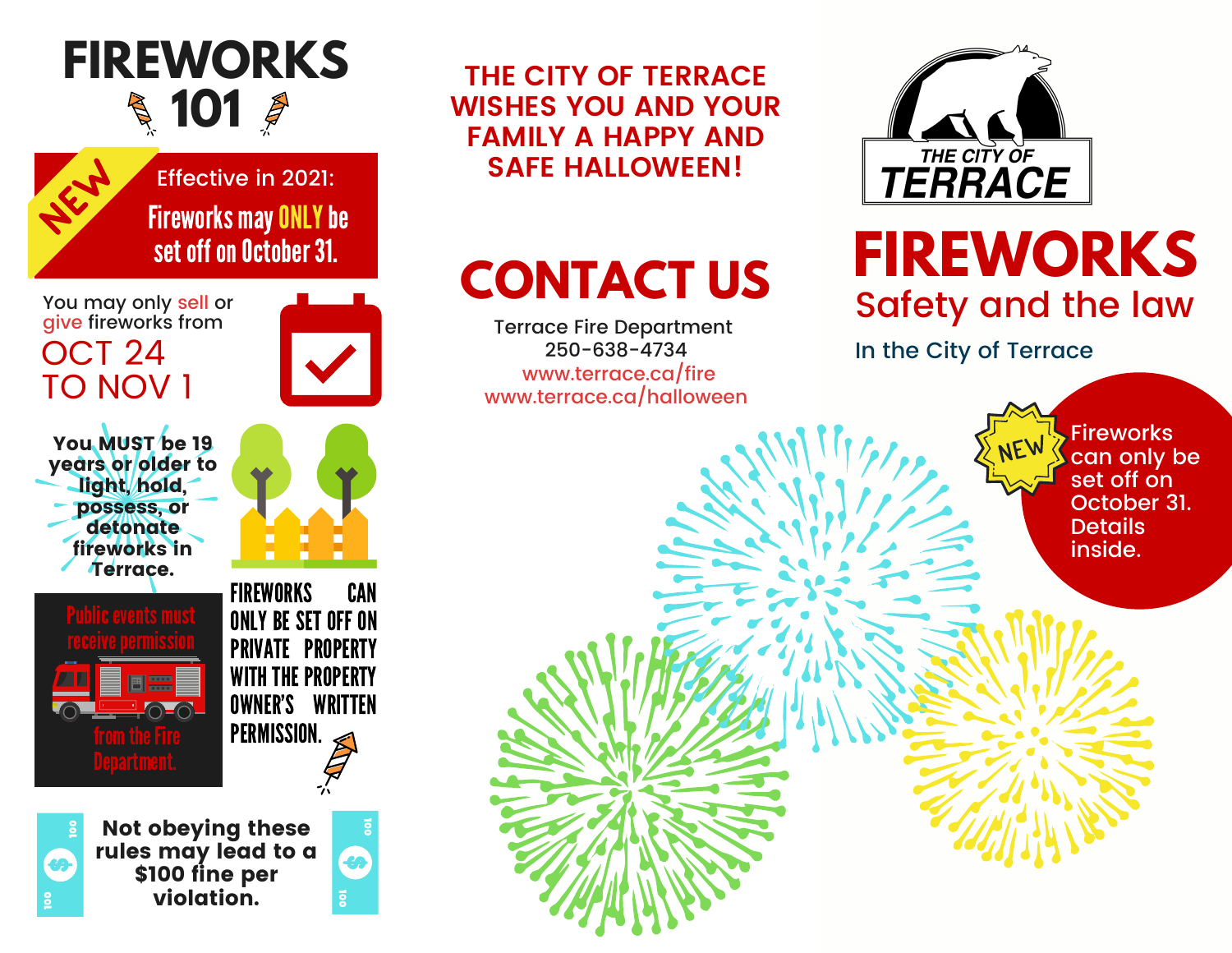# **FIREWORKS 101**



**Fireworks may ONLY be** set off on October 31. Effective in 2021:

You may only sell or give fireworks from OCT 24 TO NOV 1

You MUST be 19 years or older to light, hold, possess, or detonate fireworks in Terrace.

圖票



FIREWORKS CAN ONLY BE SET OFF ON PRIVATE PROPERTY WITH THE PROPERTY OWNER'S WRITTEN PERMISSION.



Not obeying these rules may lead to a \$100 fine per violation.

**THE CITY OF TERRACE WISHES YOU AND YOUR FAMILY A HAPPY AND SAFE HALLOWEEN!**

Terrace Fire Department 250-638-4734 www.terrace.ca/fire www.terrace.ca/halloween



# **FIREWORKS CONTACT US CONTACT US** Safety and the law

In the City of Terrace